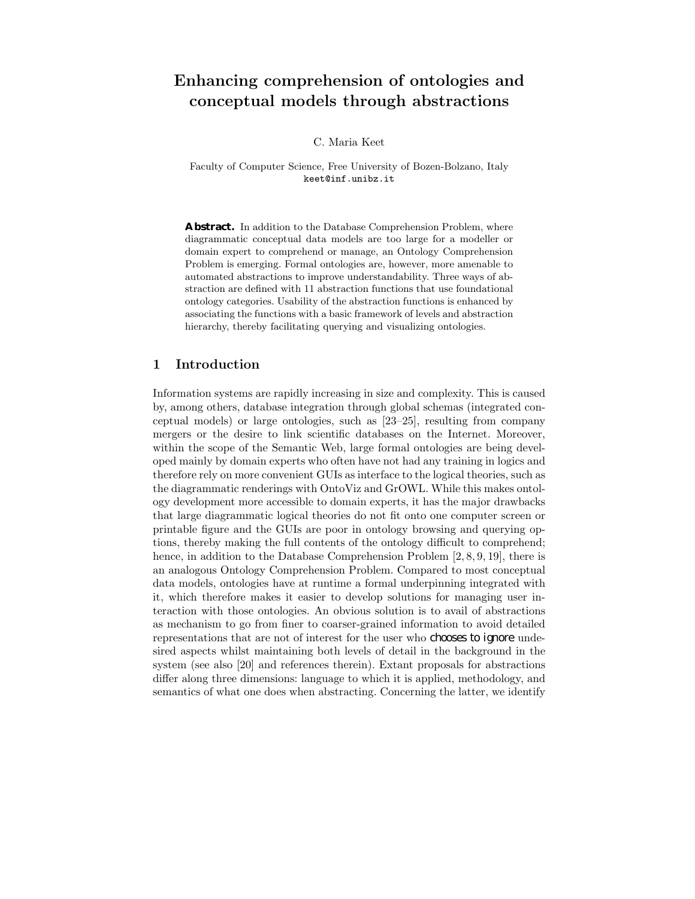# **Enhancing comprehension of ontologies and conceptual models through abstractions**

C. Maria Keet

Faculty of Computer Science, Free University of Bozen-Bolzano, Italy keet@inf.unibz.it

**Abstract.** In addition to the Database Comprehension Problem, where diagrammatic conceptual data models are too large for a modeller or domain expert to comprehend or manage, an Ontology Comprehension Problem is emerging. Formal ontologies are, however, more amenable to automated abstractions to improve understandability. Three ways of abstraction are defined with 11 abstraction functions that use foundational ontology categories. Usability of the abstraction functions is enhanced by associating the functions with a basic framework of levels and abstraction hierarchy, thereby facilitating querying and visualizing ontologies.

# **1 Introduction**

Information systems are rapidly increasing in size and complexity. This is caused by, among others, database integration through global schemas (integrated conceptual models) or large ontologies, such as [23–25], resulting from company mergers or the desire to link scientific databases on the Internet. Moreover, within the scope of the Semantic Web, large formal ontologies are being developed mainly by domain experts who often have not had any training in logics and therefore rely on more convenient GUIs as interface to the logical theories, such as the diagrammatic renderings with OntoViz and GrOWL. While this makes ontology development more accessible to domain experts, it has the major drawbacks that large diagrammatic logical theories do not fit onto one computer screen or printable figure and the GUIs are poor in ontology browsing and querying options, thereby making the full contents of the ontology difficult to comprehend; hence, in addition to the Database Comprehension Problem [2, 8, 9, 19], there is an analogous Ontology Comprehension Problem. Compared to most conceptual data models, ontologies have at runtime a formal underpinning integrated with it, which therefore makes it easier to develop solutions for managing user interaction with those ontologies. An obvious solution is to avail of abstractions as mechanism to go from finer to coarser-grained information to avoid detailed representations that are not of interest for the user who *chooses to ignore* undesired aspects whilst maintaining both levels of detail in the background in the system (see also [20] and references therein). Extant proposals for abstractions differ along three dimensions: language to which it is applied, methodology, and semantics of what one does when abstracting. Concerning the latter, we identify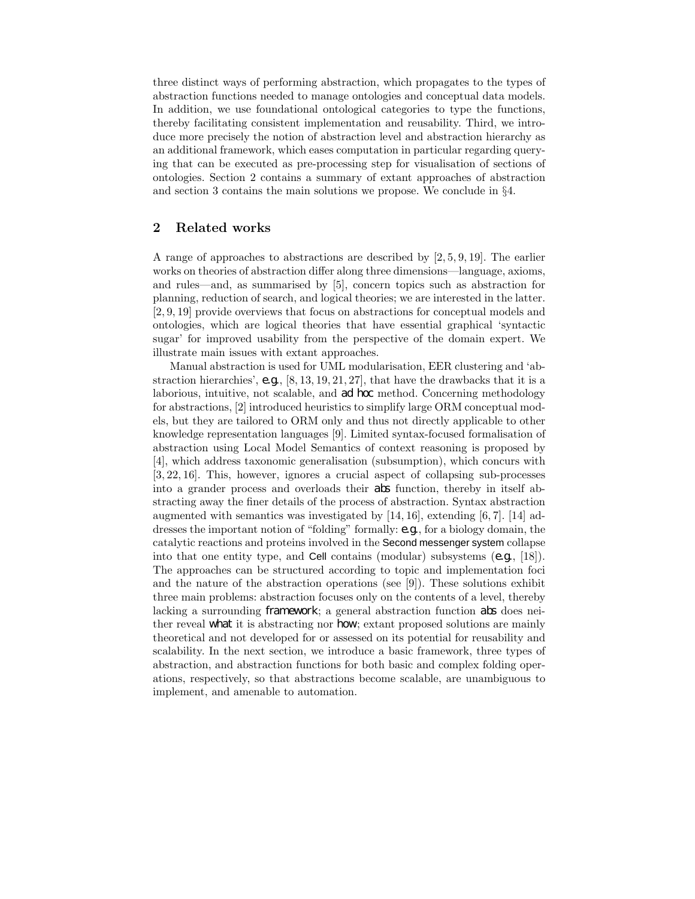three distinct ways of performing abstraction, which propagates to the types of abstraction functions needed to manage ontologies and conceptual data models. In addition, we use foundational ontological categories to type the functions, thereby facilitating consistent implementation and reusability. Third, we introduce more precisely the notion of abstraction level and abstraction hierarchy as an additional framework, which eases computation in particular regarding querying that can be executed as pre-processing step for visualisation of sections of ontologies. Section 2 contains a summary of extant approaches of abstraction and section 3 contains the main solutions we propose. We conclude in §4.

# **2 Related works**

A range of approaches to abstractions are described by [2, 5, 9, 19]. The earlier works on theories of abstraction differ along three dimensions—language, axioms, and rules—and, as summarised by [5], concern topics such as abstraction for planning, reduction of search, and logical theories; we are interested in the latter. [2, 9, 19] provide overviews that focus on abstractions for conceptual models and ontologies, which are logical theories that have essential graphical 'syntactic sugar' for improved usability from the perspective of the domain expert. We illustrate main issues with extant approaches.

Manual abstraction is used for UML modularisation, EER clustering and 'abstraction hierarchies', *e.g.*, [8, 13, 19, 21, 27], that have the drawbacks that it is a laborious, intuitive, not scalable, and *ad hoc* method. Concerning methodology for abstractions, [2] introduced heuristics to simplify large ORM conceptual models, but they are tailored to ORM only and thus not directly applicable to other knowledge representation languages [9]. Limited syntax-focused formalisation of abstraction using Local Model Semantics of context reasoning is proposed by [4], which address taxonomic generalisation (subsumption), which concurs with [3, 22, 16]. This, however, ignores a crucial aspect of collapsing sub-processes into a grander process and overloads their abs function, thereby in itself abstracting away the finer details of the process of abstraction. Syntax abstraction augmented with semantics was investigated by  $[14, 16]$ , extending  $[6, 7]$ .  $[14]$  addresses the important notion of "folding" formally: *e.g.*, for a biology domain, the catalytic reactions and proteins involved in the Second messenger system collapse into that one entity type, and Cell contains (modular) subsystems (*e.g.*, [18]). The approaches can be structured according to topic and implementation foci and the nature of the abstraction operations (see [9]). These solutions exhibit three main problems: abstraction focuses only on the contents of a level, thereby lacking a surrounding *framework*; a general abstraction function abs does neither reveal *what* it is abstracting nor *how*; extant proposed solutions are mainly theoretical and not developed for or assessed on its potential for reusability and scalability. In the next section, we introduce a basic framework, three types of abstraction, and abstraction functions for both basic and complex folding operations, respectively, so that abstractions become scalable, are unambiguous to implement, and amenable to automation.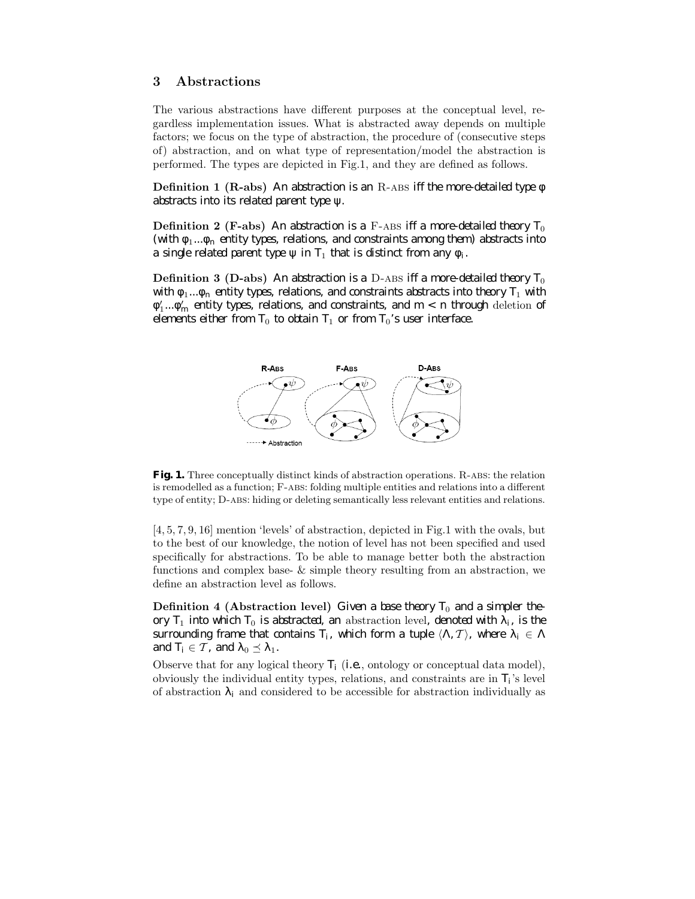# **3 Abstractions**

The various abstractions have different purposes at the conceptual level, regardless implementation issues. What is abstracted away depends on multiple factors; we focus on the type of abstraction, the procedure of (consecutive steps of) abstraction, and on what type of representation/model the abstraction is performed. The types are depicted in Fig.1, and they are defined as follows.

**Definition 1 (R-abs)** An abstraction is an R-ABS *i* the more-detailed type *abstracts into its related parent type .*

**Definition 2 (F-abs)** An abstraction is a F-ABS *i* a more-detailed theory  $T_0$ *(with*  $1...$   $n$  *entity types, relations, and constraints among them) abstracts into a single related parent type in*  $T_1$  *that is distinct from any i*.

**Definition 3 (D-abs)** An abstraction is a D-ABS *i* a more-detailed theory  $T_0$ *with*  $1 \ldots p$  *entity types, relations, and constraints abstracts into theory*  $T_1$  *with*  $'_{1}$ ..*.*  $'_{m}$  *entity types, relations, and constraints, and m < n through deletion of elements either from*  $T_0$  *to obtain*  $T_1$  *or from*  $T_0$ *'s user interface.* 



Fig. 1. Three conceptually distinct kinds of abstraction operations. R-ABS: the relation is remodelled as a function; F-abs: folding multiple entities and relations into a different type of entity; D-abs: hiding or deleting semantically less relevant entities and relations.

[4, 5, 7, 9, 16] mention 'levels' of abstraction, depicted in Fig.1 with the ovals, but to the best of our knowledge, the notion of level has not been specified and used specifically for abstractions. To be able to manage better both the abstraction functions and complex base- & simple theory resulting from an abstraction, we define an abstraction level as follows.

**Definition 4 (Abstraction level)** *Given a base theory*  $T_0$  *and a simpler theory*  $T_1$  *into which*  $T_0$  *is abstracted, an* abstraction level, *denoted with i, is the*  $surrounding frame that contains T_i$ , which form a tuple  $\langle , T \rangle$ , where  $i \in$ *and*  $T_i \in \mathcal{T}$ *, and*  $0 \leq 1$ *.* 

Observe that for any logical theory  $T_i$  (*i.e.*, ontology or conceptual data model), obviously the individual entity types, relations, and constraints are in  $T_i$ 's level of abstraction  $\mu$  and considered to be accessible for abstraction individually as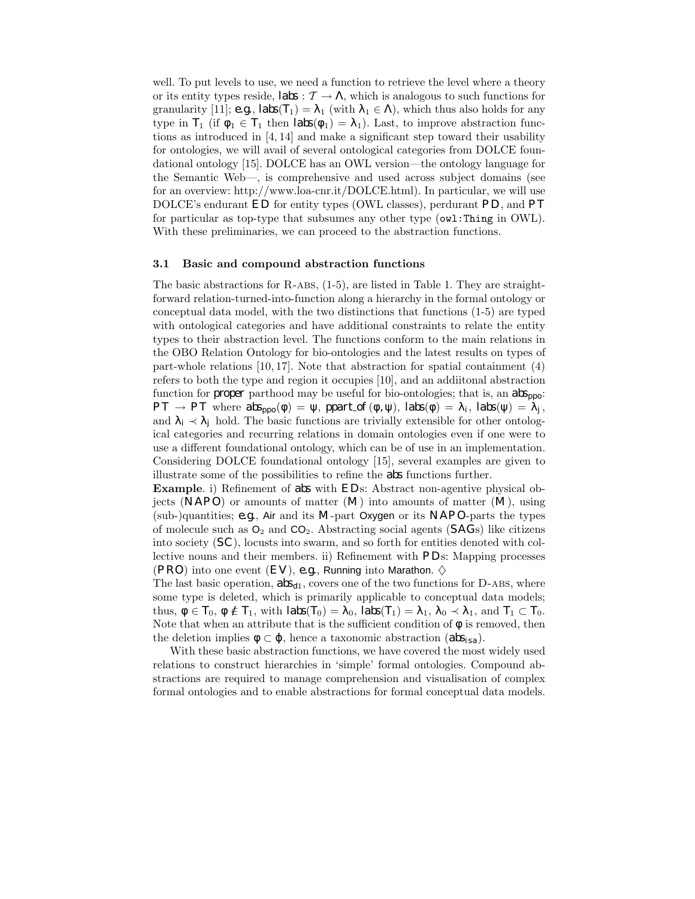well. To put levels to use, we need a function to retrieve the level where a theory or its entity types reside,  $\langle \textit{abs} : \mathcal{T} \rightarrow \rangle$ , which is analogous to such functions for granularity [11]; *e.g.*,  $\text{labs}(T_1) = 1$  (with  $1 \in \mathbb{N}$ , which thus also holds for any type in  $T_1$  (if  $_1 \in T_1$  then *labs*( $_1$ ) =  $_1$ ). Last, to improve abstraction functions as introduced in [4, 14] and make a significant step toward their usability for ontologies, we will avail of several ontological categories from DOLCE foundational ontology [15]. DOLCE has an OWL version—the ontology language for the Semantic Web—, is comprehensive and used across subject domains (see for an overview: http://www.loa-cnr.it/DOLCE.html). In particular, we will use DOLCE's endurant ED for entity types (OWL classes), perdurant PD, and PT for particular as top-type that subsumes any other type (owl:Thing in OWL). With these preliminaries, we can proceed to the abstraction functions.

#### **3.1 Basic and compound abstraction functions**

The basic abstractions for R-ABS,  $(1-5)$ , are listed in Table 1. They are straightforward relation-turned-into-function along a hierarchy in the formal ontology or conceptual data model, with the two distinctions that functions (1-5) are typed with ontological categories and have additional constraints to relate the entity types to their abstraction level. The functions conform to the main relations in the OBO Relation Ontology for bio-ontologies and the latest results on types of part-whole relations [10, 17]. Note that abstraction for spatial containment (4) refers to both the type and region it occupies [10], and an addiitonal abstraction function for *proper* parthood may be useful for bio-ontologies; that is, an  $\partial S_{\text{ppo}}$ .  $PT \rightarrow PT$  where  $abs_{ppo}( ) = ,$  ppart\_of(, ), labs() = i, labs() = j, and  $i \leq j$  hold. The basic functions are trivially extensible for other ontological categories and recurring relations in domain ontologies even if one were to use a different foundational ontology, which can be of use in an implementation. Considering DOLCE foundational ontology [15], several examples are given to illustrate some of the possibilities to refine the abs functions further.

**Example**. i) Refinement of abs with EDs: Abstract non-agentive physical objects (NAPO) or amounts of matter  $(M)$  into amounts of matter  $(M)$ , using (sub-)quantities; *e.g.*, Air and its M-part Oxygen or its NAPO-parts the types of molecule such as  $O_2$  and  $CO_2$ . Abstracting social agents (SAGs) like citizens into society (SC), locusts into swarm, and so forth for entities denoted with collective nouns and their members. ii) Refinement with PDs: Mapping processes (*PRO*) into one event  $(EV)$ , *e.g.*, Running into Marathon.  $\diamond$ 

The last basic operation,  $abs_{d1}$ , covers one of the two functions for D-ABS, where some type is deleted, which is primarily applicable to conceptual data models; thus,  $\in \mathcal{T}_0$ ,  $\not\in \mathcal{T}_1$ , with  $\text{labs}(\mathcal{T}_0) = 0$ ,  $\text{labs}(\mathcal{T}_1) = 1$ ,  $0 \prec 1$ , and  $\mathcal{T}_1 \subset \mathcal{T}_0$ . Note that when an attribute that is the sufficient condition of is removed, then the deletion implies  $\subset$ , hence a taxonomic abstraction  $\left( abs_{isq}\right)$ .

With these basic abstraction functions, we have covered the most widely used relations to construct hierarchies in 'simple' formal ontologies. Compound abstractions are required to manage comprehension and visualisation of complex formal ontologies and to enable abstractions for formal conceptual data models.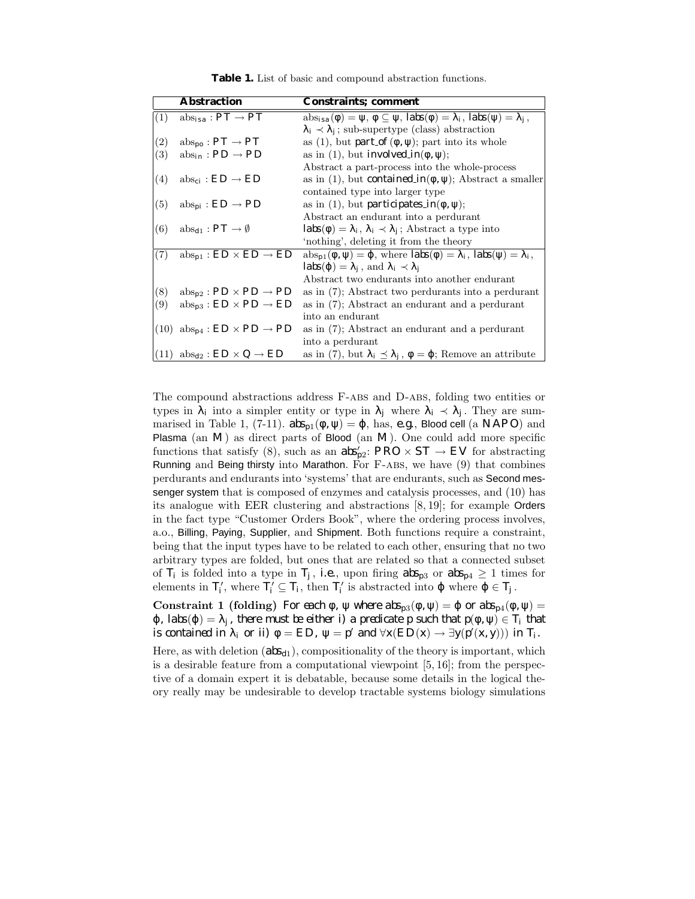|     | <b>Abstraction</b>                                       | <b>Constraints</b> ; comment                                              |
|-----|----------------------------------------------------------|---------------------------------------------------------------------------|
| (1) | abs <sub>isa</sub> : $PT \rightarrow PT$                 | $abs_{isa}( ) = , \subseteq , labs( ) = , labs( ) = ,$                    |
|     |                                                          | $i \prec j$ ; sub-supertype (class) abstraction                           |
| (2) | abs <sub>po</sub> : $PT \rightarrow PT$                  | as $(1)$ , but <i>part_of</i> $($ , $)$ ; part into its whole             |
| (3) | $abs_{in}: PD \rightarrow PD$                            | as in (1), but <i>involved_in</i> ( $,$ );                                |
|     |                                                          | Abstract a part-process into the whole-process                            |
| (4) | $\mathrm{abs}_{ci}:ED\rightarrow ED$                     | as in $(1)$ , but <i>contained_in</i> $($ , $)$ ; Abstract a smaller      |
|     |                                                          | contained type into larger type                                           |
| (5) | $abs_{pl}:ED\rightarrow PD$                              | as in $(1)$ , but <i>participates_in</i> $($ , $)$ ;                      |
|     |                                                          | Abstract an endurant into a perdurant                                     |
| (6) | $abs_{d1}: PT \rightarrow \emptyset$                     | <i>labs</i> ( $) = i, i \prec j$ ; Abstract a type into                   |
|     |                                                          | 'nothing', deleting it from the theory                                    |
| (7) | $abs_{D1}:ED\times ED\rightarrow ED$                     | $abs_{p1}($ , $) =$ , where $\text{labs}($ $) =$ , $\text{labs}($ $) =$ , |
|     |                                                          | $\textit{labs}( ) = j$ , and $j \prec j$                                  |
|     |                                                          | Abstract two endurants into another endurant                              |
| (8) | $\mathrm{abs}_{p2}: PD \times PD \rightarrow PD$         | as in $(7)$ ; Abstract two perdurants into a perdurant                    |
| (9) | $\mathrm{abs}_{p3}:ED\times PD\rightarrow ED$            | as in $(7)$ ; Abstract an endurant and a perdurant                        |
|     |                                                          | into an endurant                                                          |
|     | $(10)$ abs <sub>p4</sub> : $ED \times PD \rightarrow PD$ | as in $(7)$ ; Abstract an endurant and a perdurant                        |
|     |                                                          | into a perdurant                                                          |
|     | $(11)$ abs <sub>d2</sub> : $ED \times Q \rightarrow ED$  | as in (7), but $i \leq j$ , = ; Remove an attribute                       |

**Table 1.** List of basic and compound abstraction functions.

The compound abstractions address F-ABS and D-ABS, folding two entities or types in *i* into a simpler entity or type in j where  $i \prec j$ . They are summarised in Table 1, (7-11).  $abs_{p1}(p, p) = p$ , has, *e.g.*, Blood cell (a NAPO) and Plasma (an  $M$ ) as direct parts of Blood (an  $M$ ). One could add more specific functions that satisfy (8), such as an  $\partial S_{\rho 2}$ :  $PROX ST \rightarrow EV$  for abstracting Running and Being thirsty into Marathon. For  $F$ -ABS, we have  $(9)$  that combines perdurants and endurants into 'systems' that are endurants, such as Second messenger system that is composed of enzymes and catalysis processes, and (10) has its analogue with EER clustering and abstractions [8, 19]; for example Orders in the fact type "Customer Orders Book", where the ordering process involves, a.o., Billing, Paying, Supplier, and Shipment. Both functions require a constraint, being that the input types have to be related to each other, ensuring that no two arbitrary types are folded, but ones that are related so that a connected subset of  $T_i$  is folded into a type in  $T_j$ , *i.e.*, upon firing  $abs_{p3}$  or  $abs_{p4} \geq 1$  times for elements in  $T'_i$ , where  $T'_i \subseteq T_i$ , then  $T'_i$  is abstracted into where  $\in T_j$ .

**Constraint 1 (folding)** For each , where  $abs_{p3}($ ,  $) =$  or  $abs_{p4}($ ,  $) =$ *,* labs( ) =  $\,$  *j*, there must be either i) a predicate p such that  $p(x, \cdot) \in T_i$  that *is contained in* i *or ii*) =  $ED$ , =  $p'$  *and*  $\forall x (ED(x) \rightarrow \exists y (p'(x, y)))$  *in*  $T_i$ *.* 

Here, as with deletion  $\left(ab_0t\right)$ , compositionality of the theory is important, which is a desirable feature from a computational viewpoint [5, 16]; from the perspective of a domain expert it is debatable, because some details in the logical theory really may be undesirable to develop tractable systems biology simulations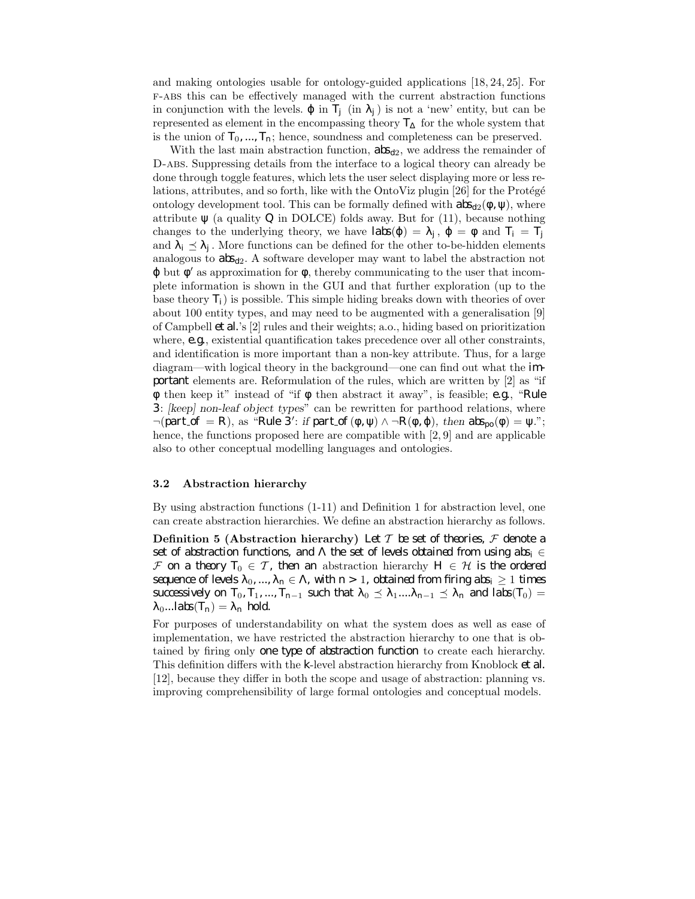and making ontologies usable for ontology-guided applications [18, 24, 25]. For f-abs this can be effectively managed with the current abstraction functions in conjunction with the levels. in  $T_i$  (in j) is not a 'new' entity, but can be represented as element in the encompassing theory  $T$  for the whole system that is the union of  $T_0$ , ...,  $T_n$ ; hence, soundness and completeness can be preserved.

With the last main abstraction function,  $\partial \mathcal{S}_{d2}$ , we address the remainder of D-abs. Suppressing details from the interface to a logical theory can already be done through toggle features, which lets the user select displaying more or less relations, attributes, and so forth, like with the OntoViz plugin [26] for the Protégé ontology development tool. This can be formally defined with  $abs_{d2}(\theta, \theta)$ , where attribute (a quality  $Q$  in DOLCE) folds away. But for  $(11)$ , because nothing changes to the underlying theory, we have  $\langle \textit{abs}( \ \ \rangle = \ \ \}_{j}, \ \ \ \textit{is} \ \ \textit{and} \ \ \mathcal{T}_j = \mathcal{T}_j$ and  $i \leq j$ . More functions can be defined for the other to-be-hidden elements analogous to  $abs_{d2}$ . A software developer may want to label the abstraction not

but  $\prime$  as approximation for , thereby communicating to the user that incomplete information is shown in the GUI and that further exploration (up to the base theory  $T_i$ ) is possible. This simple hiding breaks down with theories of over about 100 entity types, and may need to be augmented with a generalisation [9] of Campbell *et al.*'s [2] rules and their weights; a.o., hiding based on prioritization where, *e.g.*, existential quantification takes precedence over all other constraints, and identification is more important than a non-key attribute. Thus, for a large diagram—with logical theory in the background—one can find out what the *important* elements are. Reformulation of the rules, which are written by [2] as "if

then keep it" instead of "if then abstract it away", is feasible; *e.g.*, "*Rule 3* : *[keep] non-leaf object types*" can be rewritten for parthood relations, where  $\neg$ (*part\_of = R*), as "*Rule 3'*: *if part\_of*(, )  $\wedge \neg R($ , ), then  $abs_{po}($  ) = ."; hence, the functions proposed here are compatible with [2, 9] and are applicable also to other conceptual modelling languages and ontologies.

#### **3.2 Abstraction hierarchy**

By using abstraction functions (1-11) and Definition 1 for abstraction level, one can create abstraction hierarchies. We define an abstraction hierarchy as follows.

**Definition 5 (Abstraction hierarchy)** *Let* T *be set of theories,* F *denote a set of abstraction functions, and the set of levels obtained from using abs<sub>i</sub>* ∈ F on a theory  $T_0 \in \mathcal{T}$ , then an abstraction hierarchy  $H \in \mathcal{H}$  is the ordered *sequence of levels*  $0, ..., n \in$  *, with*  $n > 1$ *, obtained from firing abs<sub>i</sub> ≥ 1 times successively on*  $T_0$ ,  $T_1$ , ...,  $T_{n-1}$  *such that*  $0 \leq 1$ ...,  $n-1 \leq n$  *and labs*( $T_0$ ) =  $_0...$ *labs* $(T_n) = n$  *hold.* 

For purposes of understandability on what the system does as well as ease of implementation, we have restricted the abstraction hierarchy to one that is obtained by firing only *one type of abstraction function* to create each hierarchy. This definition differs with the k-level abstraction hierarchy from Knoblock *et al.* [12], because they differ in both the scope and usage of abstraction: planning vs. improving comprehensibility of large formal ontologies and conceptual models.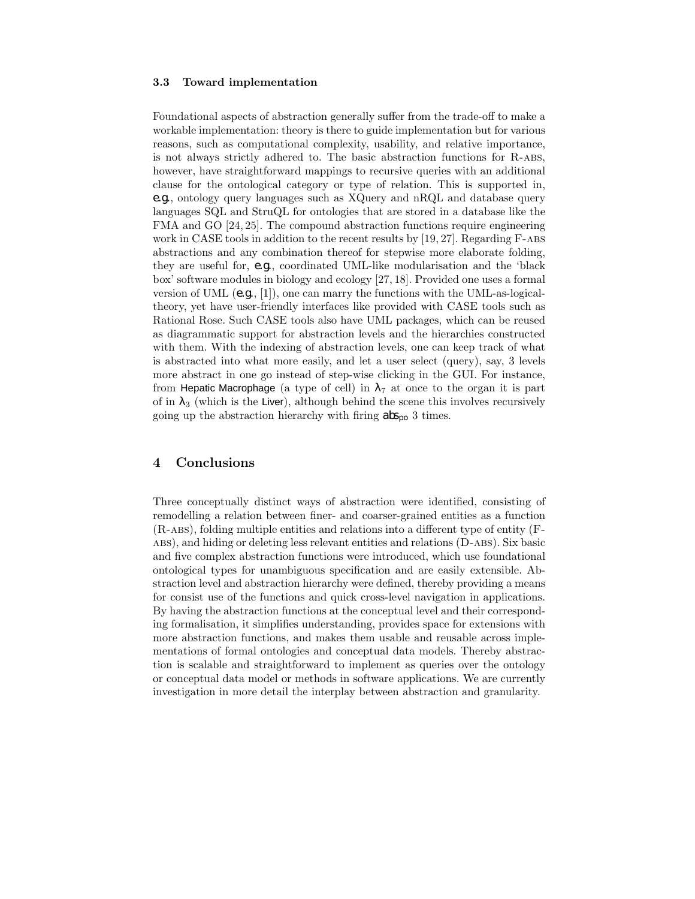#### **3.3 Toward implementation**

Foundational aspects of abstraction generally suffer from the trade-off to make a workable implementation: theory is there to guide implementation but for various reasons, such as computational complexity, usability, and relative importance, is not always strictly adhered to. The basic abstraction functions for R-abs, however, have straightforward mappings to recursive queries with an additional clause for the ontological category or type of relation. This is supported in, *e.g.*, ontology query languages such as XQuery and nRQL and database query languages SQL and StruQL for ontologies that are stored in a database like the FMA and GO [24, 25]. The compound abstraction functions require engineering work in CASE tools in addition to the recent results by [19, 27]. Regarding F-ABS abstractions and any combination thereof for stepwise more elaborate folding, they are useful for, *e.g.*, coordinated UML-like modularisation and the 'black box' software modules in biology and ecology [27, 18]. Provided one uses a formal version of UML (*e.g.*, [1]), one can marry the functions with the UML-as-logicaltheory, yet have user-friendly interfaces like provided with CASE tools such as Rational Rose. Such CASE tools also have UML packages, which can be reused as diagrammatic support for abstraction levels and the hierarchies constructed with them. With the indexing of abstraction levels, one can keep track of what is abstracted into what more easily, and let a user select (query), say, 3 levels more abstract in one go instead of step-wise clicking in the GUI. For instance, from Hepatic Macrophage (a type of cell) in  $<sub>7</sub>$  at once to the organ it is part</sub> of in  $_3$  (which is the Liver), although behind the scene this involves recursively going up the abstraction hierarchy with firing  $\partial \mathcal{S}_{\text{D}0}$  3 times.

# **4 Conclusions**

Three conceptually distinct ways of abstraction were identified, consisting of remodelling a relation between finer- and coarser-grained entities as a function (R-abs), folding multiple entities and relations into a different type of entity (Fabs), and hiding or deleting less relevant entities and relations (D-abs). Six basic and five complex abstraction functions were introduced, which use foundational ontological types for unambiguous specification and are easily extensible. Abstraction level and abstraction hierarchy were defined, thereby providing a means for consist use of the functions and quick cross-level navigation in applications. By having the abstraction functions at the conceptual level and their corresponding formalisation, it simplifies understanding, provides space for extensions with more abstraction functions, and makes them usable and reusable across implementations of formal ontologies and conceptual data models. Thereby abstraction is scalable and straightforward to implement as queries over the ontology or conceptual data model or methods in software applications. We are currently investigation in more detail the interplay between abstraction and granularity.